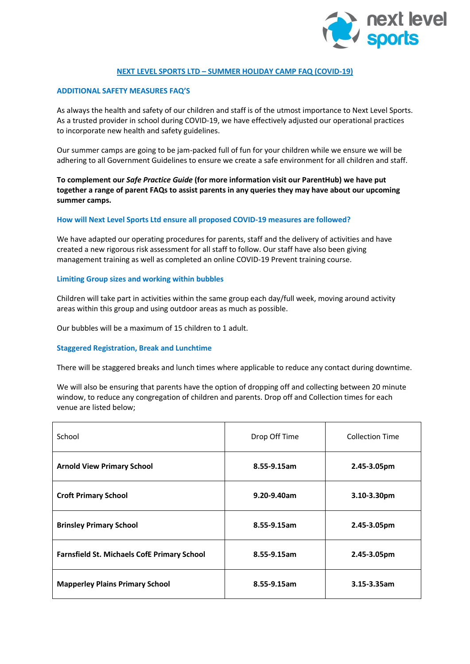

## **NEXT LEVEL SPORTS LTD – SUMMER HOLIDAY CAMP FAQ (COVID-19)**

## **ADDITIONAL SAFETY MEASURES FAQ'S**

As always the health and safety of our children and staff is of the utmost importance to Next Level Sports. As a trusted provider in school during COVID-19, we have effectively adjusted our operational practices to incorporate new health and safety guidelines.

Our summer camps are going to be jam-packed full of fun for your children while we ensure we will be adhering to all Government Guidelines to ensure we create a safe environment for all children and staff.

**To complement our** *Safe Practice Guide* **(for more information visit our ParentHub) we have put together a range of parent FAQs to assist parents in any queries they may have about our upcoming summer camps.**

### **How will Next Level Sports Ltd ensure all proposed COVID-19 measures are followed?**

We have adapted our operating procedures for parents, staff and the delivery of activities and have created a new rigorous risk assessment for all staff to follow. Our staff have also been giving management training as well as completed an online COVID-19 Prevent training course.

### **Limiting Group sizes and working within bubbles**

Children will take part in activities within the same group each day/full week, moving around activity areas within this group and using outdoor areas as much as possible.

Our bubbles will be a maximum of 15 children to 1 adult.

### **Staggered Registration, Break and Lunchtime**

There will be staggered breaks and lunch times where applicable to reduce any contact during downtime.

We will also be ensuring that parents have the option of dropping off and collecting between 20 minute window, to reduce any congregation of children and parents. Drop off and Collection times for each venue are listed below;

| School                                             | Drop Off Time | <b>Collection Time</b> |
|----------------------------------------------------|---------------|------------------------|
| <b>Arnold View Primary School</b>                  | 8.55-9.15am   | 2.45-3.05pm            |
| <b>Croft Primary School</b>                        | 9.20-9.40am   | $3.10 - 3.30$ pm       |
| <b>Brinsley Primary School</b>                     | 8.55-9.15am   | 2.45-3.05pm            |
| <b>Farnsfield St. Michaels CofE Primary School</b> | 8.55-9.15am   | 2.45-3.05pm            |
| <b>Mapperley Plains Primary School</b>             | 8.55-9.15am   | 3.15-3.35am            |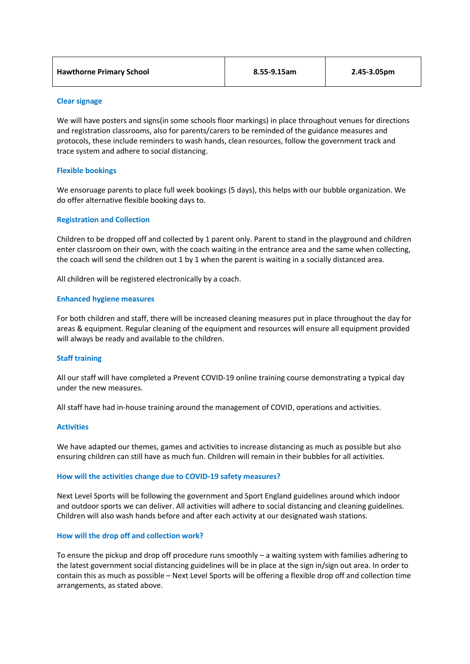| <b>Hawthorne Primary School</b> | 8.55-9.15am | 2.45-3.05pm |
|---------------------------------|-------------|-------------|
|---------------------------------|-------------|-------------|

## **Clear signage**

We will have posters and signs(in some schools floor markings) in place throughout venues for directions and registration classrooms, also for parents/carers to be reminded of the guidance measures and protocols, these include reminders to wash hands, clean resources, follow the government track and trace system and adhere to social distancing.

## **Flexible bookings**

We ensoruage parents to place full week bookings (5 days), this helps with our bubble organization. We do offer alternative flexible booking days to.

## **Registration and Collection**

Children to be dropped off and collected by 1 parent only. Parent to stand in the playground and children enter classroom on their own, with the coach waiting in the entrance area and the same when collecting, the coach will send the children out 1 by 1 when the parent is waiting in a socially distanced area.

All children will be registered electronically by a coach.

## **Enhanced hygiene measures**

For both children and staff, there will be increased cleaning measures put in place throughout the day for areas & equipment. Regular cleaning of the equipment and resources will ensure all equipment provided will always be ready and available to the children.

### **Staff training**

All our staff will have completed a Prevent COVID-19 online training course demonstrating a typical day under the new measures.

All staff have had in-house training around the management of COVID, operations and activities.

### **Activities**

We have adapted our themes, games and activities to increase distancing as much as possible but also ensuring children can still have as much fun. Children will remain in their bubbles for all activities.

### **How will the activities change due to COVID-19 safety measures?**

Next Level Sports will be following the government and Sport England guidelines around which indoor and outdoor sports we can deliver. All activities will adhere to social distancing and cleaning guidelines. Children will also wash hands before and after each activity at our designated wash stations.

### **How will the drop off and collection work?**

To ensure the pickup and drop off procedure runs smoothly – a waiting system with families adhering to the latest government social distancing guidelines will be in place at the sign in/sign out area. In order to contain this as much as possible – Next Level Sports will be offering a flexible drop off and collection time arrangements, as stated above.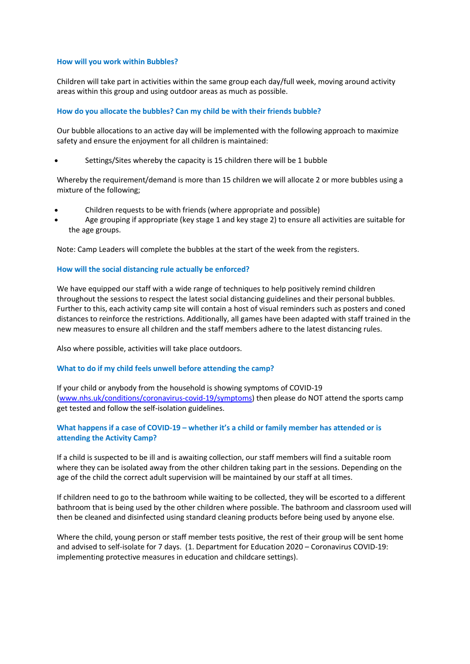### **How will you work within Bubbles?**

Children will take part in activities within the same group each day/full week, moving around activity areas within this group and using outdoor areas as much as possible.

## **How do you allocate the bubbles? Can my child be with their friends bubble?**

Our bubble allocations to an active day will be implemented with the following approach to maximize safety and ensure the enjoyment for all children is maintained:

Settings/Sites whereby the capacity is 15 children there will be 1 bubble

Whereby the requirement/demand is more than 15 children we will allocate 2 or more bubbles using a mixture of the following;

- Children requests to be with friends (where appropriate and possible)
- Age grouping if appropriate (key stage 1 and key stage 2) to ensure all activities are suitable for the age groups.

Note: Camp Leaders will complete the bubbles at the start of the week from the registers.

### **How will the social distancing rule actually be enforced?**

We have equipped our staff with a wide range of techniques to help positively remind children throughout the sessions to respect the latest social distancing guidelines and their personal bubbles. Further to this, each activity camp site will contain a host of visual reminders such as posters and coned distances to reinforce the restrictions. Additionally, all games have been adapted with staff trained in the new measures to ensure all children and the staff members adhere to the latest distancing rules.

Also where possible, activities will take place outdoors.

### **What to do if my child feels unwell before attending the camp?**

If your child or anybody from the household is showing symptoms of COVID-19 [\(www.nhs.uk/conditions/coronavirus-covid-19/symptoms\)](http://www.nhs.uk/conditions/coronavirus-covid-19/symptoms) then please do NOT attend the sports camp get tested and follow the self-isolation guidelines.

# **What happens if a case of COVID-19 – whether it's a child or family member has attended or is attending the Activity Camp?**

If a child is suspected to be ill and is awaiting collection, our staff members will find a suitable room where they can be isolated away from the other children taking part in the sessions. Depending on the age of the child the correct adult supervision will be maintained by our staff at all times.

If children need to go to the bathroom while waiting to be collected, they will be escorted to a different bathroom that is being used by the other children where possible. The bathroom and classroom used will then be cleaned and disinfected using standard cleaning products before being used by anyone else.

Where the child, young person or staff member tests positive, the rest of their group will be sent home and advised to self-isolate for 7 days. (1. Department for Education 2020 – Coronavirus COVID-19: implementing protective measures in education and childcare settings).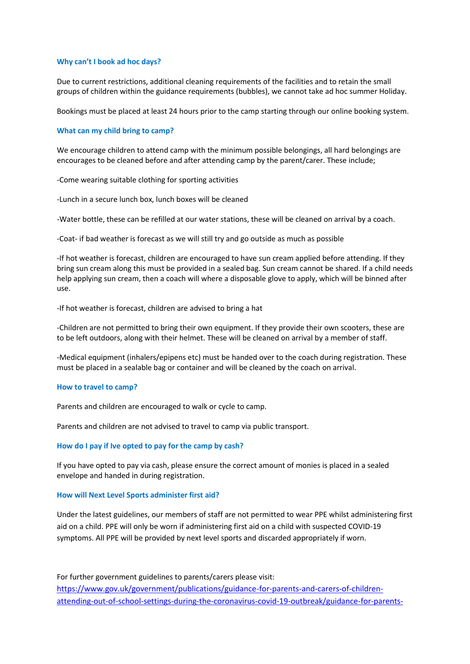#### **Why can't I book ad hoc days?**

Due to current restrictions, additional cleaning requirements of the facilities and to retain the small groups of children within the guidance requirements (bubbles), we cannot take ad hoc summer Holiday.

Bookings must be placed at least 24 hours prior to the camp starting through our online booking system.

#### **What can my child bring to camp?**

We encourage children to attend camp with the minimum possible belongings, all hard belongings are encourages to be cleaned before and after attending camp by the parent/carer. These include;

-Come wearing suitable clothing for sporting activities

-Lunch in a secure lunch box, lunch boxes will be cleaned

-Water bottle, these can be refilled at our water stations, these will be cleaned on arrival by a coach.

-Coat- if bad weather is forecast as we will still try and go outside as much as possible

-If hot weather is forecast, children are encouraged to have sun cream applied before attending. If they bring sun cream along this must be provided in a sealed bag. Sun cream cannot be shared. If a child needs help applying sun cream, then a coach will where a disposable glove to apply, which will be binned after use.

-If hot weather is forecast, children are advised to bring a hat

-Children are not permitted to bring their own equipment. If they provide their own scooters, these are to be left outdoors, along with their helmet. These will be cleaned on arrival by a member of staff.

-Medical equipment (inhalers/epipens etc) must be handed over to the coach during registration. These must be placed in a sealable bag or container and will be cleaned by the coach on arrival.

#### **How to travel to camp?**

Parents and children are encouraged to walk or cycle to camp.

Parents and children are not advised to travel to camp via public transport.

#### **How do I pay if Ive opted to pay for the camp by cash?**

If you have opted to pay via cash, please ensure the correct amount of monies is placed in a sealed envelope and handed in during registration.

#### **How will Next Level Sports administer first aid?**

Under the latest guidelines, our members of staff are not permitted to wear PPE whilst administering first aid on a child. PPE will only be worn if administering first aid on a child with suspected COVID-19 symptoms. All PPE will be provided by next level sports and discarded appropriately if worn.

For further government guidelines to parents/carers please visit: [https://www.gov.uk/government/publications/guidance-for-parents-and-carers-of-children](https://www.gov.uk/government/publications/guidance-for-parents-and-carers-of-children-attending-out-of-school-settings-during-the-coronavirus-covid-19-outbreak/guidance-for-parents-and-carers-of-children-attending-out-of-school-settings-during-the-coronavirus-covid-19-outbreak?fbclid=IwAR1JJv6VX-ThVYA6b_Hhke2m8YazGq5ajjWhm2CKzTighktsnlG13t82hZ8)[attending-out-of-school-settings-during-the-coronavirus-covid-19-outbreak/guidance-for-parents-](https://www.gov.uk/government/publications/guidance-for-parents-and-carers-of-children-attending-out-of-school-settings-during-the-coronavirus-covid-19-outbreak/guidance-for-parents-and-carers-of-children-attending-out-of-school-settings-during-the-coronavirus-covid-19-outbreak?fbclid=IwAR1JJv6VX-ThVYA6b_Hhke2m8YazGq5ajjWhm2CKzTighktsnlG13t82hZ8)